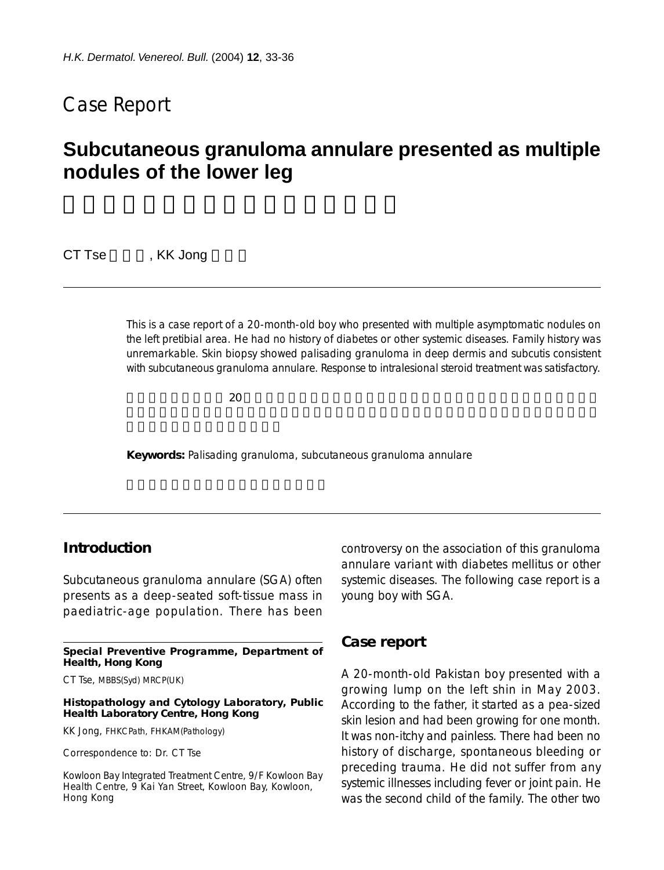## Case Report

# **Subcutaneous granuloma annulare presented as multiple nodules of the lower leg**

CT Tse , KK Jong

This is a case report of a 20-month-old boy who presented with multiple asymptomatic nodules on the left pretibial area. He had no history of diabetes or other systemic diseases. Family history was unremarkable. Skin biopsy showed palisading granuloma in deep dermis and subcutis consistent with subcutaneous granuloma annulare. Response to intralesional steroid treatment was satisfactory.

 $20$ 

**Keywords:** Palisading granuloma, subcutaneous granuloma annulare

## **Introduction**

Subcutaneous granuloma annulare (SGA) often presents as a deep-seated soft-tissue mass in paediatric-age population. There has been

**Special Preventive Programme, Department of Health, Hong Kong**

CT Tse, MBBS(Syd) MRCP(UK)

#### **Histopathology and Cytology Laboratory, Public Health Laboratory Centre, Hong Kong**

KK Jong, FHKCPath, FHKAM(Pathology)

Correspondence to: Dr. CT Tse

Kowloon Bay Integrated Treatment Centre, 9/F Kowloon Bay Health Centre, 9 Kai Yan Street, Kowloon Bay, Kowloon, Hong Kong

controversy on the association of this granuloma annulare variant with diabetes mellitus or other systemic diseases. The following case report is a young boy with SGA.

### **Case report**

A 20-month-old Pakistan boy presented with a growing lump on the left shin in May 2003. According to the father, it started as a pea-sized skin lesion and had been growing for one month. It was non-itchy and painless. There had been no history of discharge, spontaneous bleeding or preceding trauma. He did not suffer from any systemic illnesses including fever or joint pain. He was the second child of the family. The other two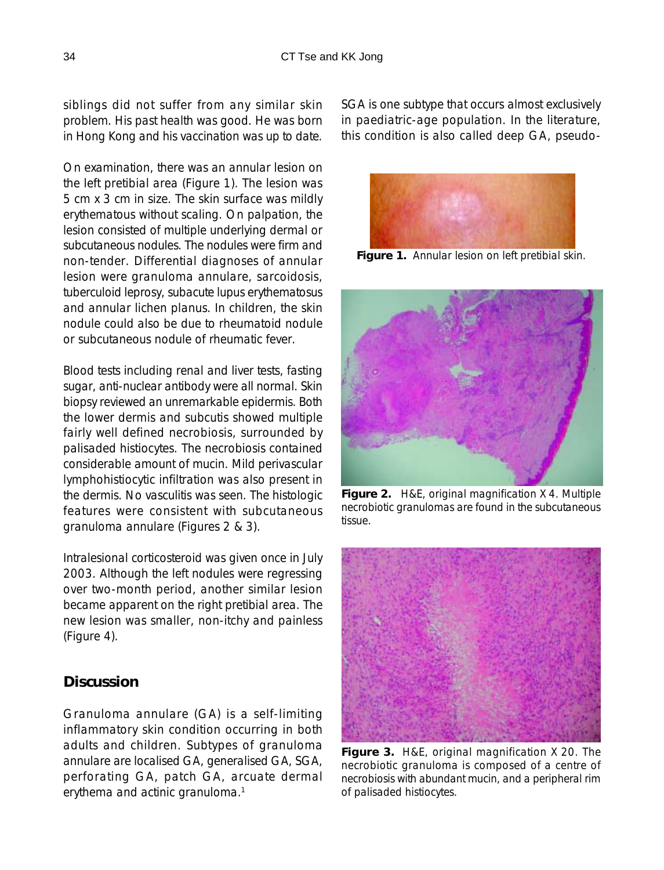siblings did not suffer from any similar skin problem. His past health was good. He was born in Hong Kong and his vaccination was up to date.

On examination, there was an annular lesion on the left pretibial area (Figure 1). The lesion was 5 cm x 3 cm in size. The skin surface was mildly erythematous without scaling. On palpation, the lesion consisted of multiple underlying dermal or subcutaneous nodules. The nodules were firm and non-tender. Differential diagnoses of annular lesion were granuloma annulare, sarcoidosis, tuberculoid leprosy, subacute lupus erythematosus and annular lichen planus. In children, the skin nodule could also be due to rheumatoid nodule or subcutaneous nodule of rheumatic fever.

Blood tests including renal and liver tests, fasting sugar, anti-nuclear antibody were all normal. Skin biopsy reviewed an unremarkable epidermis. Both the lower dermis and subcutis showed multiple fairly well defined necrobiosis, surrounded by palisaded histiocytes. The necrobiosis contained considerable amount of mucin. Mild perivascular lymphohistiocytic infiltration was also present in the dermis. No vasculitis was seen. The histologic features were consistent with subcutaneous granuloma annulare (Figures 2 & 3).

Intralesional corticosteroid was given once in July 2003. Although the left nodules were regressing over two-month period, another similar lesion became apparent on the right pretibial area. The new lesion was smaller, non-itchy and painless (Figure 4).

## **Discussion**

Granuloma annulare (GA) is a self-limiting inflammatory skin condition occurring in both adults and children. Subtypes of granuloma annulare are localised GA, generalised GA, SGA, perforating GA, patch GA, arcuate dermal erythema and actinic granuloma.<sup>1</sup>

SGA is one subtype that occurs almost exclusively in paediatric-age population. In the literature, this condition is also called deep GA, pseudo-



**Figure 1.** Annular lesion on left pretibial skin.



**Figure 2.** H&E, original magnification X 4. Multiple necrobiotic granulomas are found in the subcutaneous tissue.



**Figure 3.** H&E, original magnification X 20. The necrobiotic granuloma is composed of a centre of necrobiosis with abundant mucin, and a peripheral rim of palisaded histiocytes.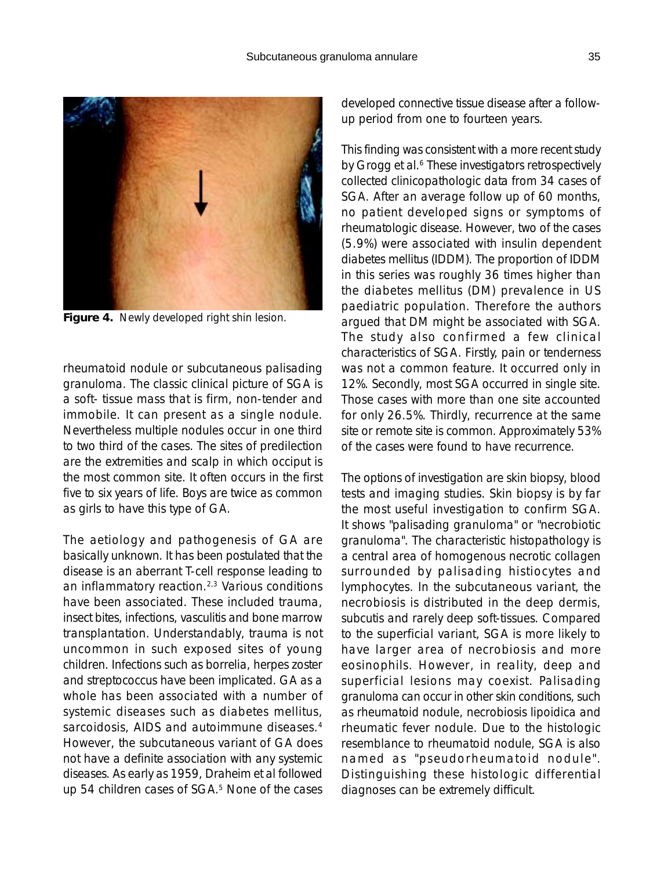

**Figure 4.** Newly developed right shin lesion.

rheumatoid nodule or subcutaneous palisading granuloma. The classic clinical picture of SGA is a soft- tissue mass that is firm, non-tender and immobile. It can present as a single nodule. Nevertheless multiple nodules occur in one third to two third of the cases. The sites of predilection are the extremities and scalp in which occiput is the most common site. It often occurs in the first five to six years of life. Boys are twice as common as girls to have this type of GA.

The aetiology and pathogenesis of GA are basically unknown. It has been postulated that the disease is an aberrant T-cell response leading to an inflammatory reaction.2,3 Various conditions have been associated. These included trauma, insect bites, infections, vasculitis and bone marrow transplantation. Understandably, trauma is not uncommon in such exposed sites of young children. Infections such as borrelia, herpes zoster and streptococcus have been implicated. GA as a whole has been associated with a number of systemic diseases such as diabetes mellitus, sarcoidosis, AIDS and autoimmune diseases.<sup>4</sup> However, the subcutaneous variant of GA does not have a definite association with any systemic diseases. As early as 1959, Draheim et al followed up 54 children cases of SGA.<sup>5</sup> None of the cases developed connective tissue disease after a followup period from one to fourteen years.

This finding was consistent with a more recent study by Grogg et al.<sup>6</sup> These investigators retrospectively collected clinicopathologic data from 34 cases of SGA. After an average follow up of 60 months, no patient developed signs or symptoms of rheumatologic disease. However, two of the cases (5.9%) were associated with insulin dependent diabetes mellitus (IDDM). The proportion of IDDM in this series was roughly 36 times higher than the diabetes mellitus (DM) prevalence in US paediatric population. Therefore the authors argued that DM might be associated with SGA. The study also confirmed a few clinical characteristics of SGA. Firstly, pain or tenderness was not a common feature. It occurred only in 12%. Secondly, most SGA occurred in single site. Those cases with more than one site accounted for only 26.5%. Thirdly, recurrence at the same site or remote site is common. Approximately 53% of the cases were found to have recurrence.

The options of investigation are skin biopsy, blood tests and imaging studies. Skin biopsy is by far the most useful investigation to confirm SGA. It shows "palisading granuloma" or "necrobiotic granuloma". The characteristic histopathology is a central area of homogenous necrotic collagen surrounded by palisading histiocytes and lymphocytes. In the subcutaneous variant, the necrobiosis is distributed in the deep dermis, subcutis and rarely deep soft-tissues. Compared to the superficial variant, SGA is more likely to have larger area of necrobiosis and more eosinophils. However, in reality, deep and superficial lesions may coexist. Palisading granuloma can occur in other skin conditions, such as rheumatoid nodule, necrobiosis lipoidica and rheumatic fever nodule. Due to the histologic resemblance to rheumatoid nodule, SGA is also named as "pseudorheumatoid nodule". Distinguishing these histologic differential diagnoses can be extremely difficult.